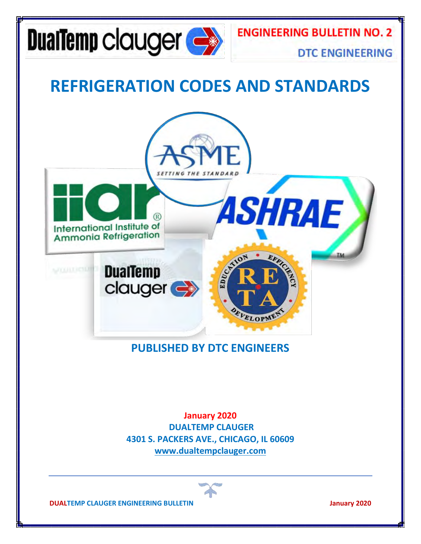

### **REFRIGERATION CODES AND STANDARDS**



#### **PUBLISHED BY DTC ENGINEERS**

**January 2020 DUALTEMP CLAUGER 4301 S. PACKERS AVE., CHICAGO, IL 60609 [www.dualtempclauger.com](http://www.dualtempclauger.com/)**

**DUALTEMP CLAUGER ENGINEERING BULLETIN January 2020**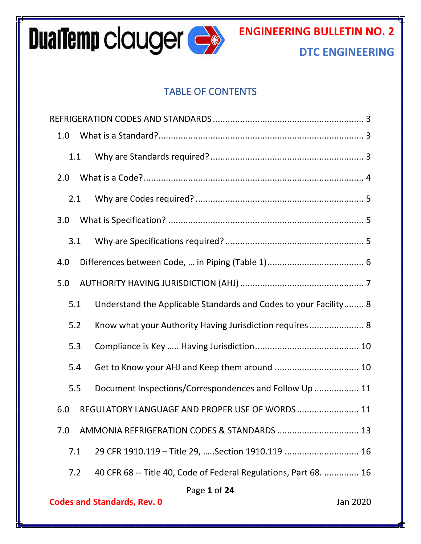

#### TABLE OF CONTENTS

| 1.0                                            |  |                                                                  |  |  |
|------------------------------------------------|--|------------------------------------------------------------------|--|--|
| 1.1                                            |  |                                                                  |  |  |
| 2.0                                            |  |                                                                  |  |  |
| 2.1                                            |  |                                                                  |  |  |
| 3.0                                            |  |                                                                  |  |  |
| 3.1                                            |  |                                                                  |  |  |
| 4.0                                            |  |                                                                  |  |  |
| 5.0                                            |  |                                                                  |  |  |
| 5.1                                            |  | Understand the Applicable Standards and Codes to your Facility 8 |  |  |
| 5.2                                            |  | Know what your Authority Having Jurisdiction requires 8          |  |  |
| 5.3                                            |  |                                                                  |  |  |
| 5.4                                            |  |                                                                  |  |  |
| 5.5                                            |  | Document Inspections/Correspondences and Follow Up  11           |  |  |
| 6.0                                            |  | REGULATORY LANGUAGE AND PROPER USE OF WORDS 11                   |  |  |
| 7.0                                            |  |                                                                  |  |  |
| 7.1                                            |  | 29 CFR 1910.119 - Title 29,  Section 1910.119  16                |  |  |
| 7.2                                            |  | 40 CFR 68 -- Title 40, Code of Federal Regulations, Part 68.  16 |  |  |
|                                                |  | Page 1 of 24                                                     |  |  |
| <b>Codes and Standards, Rev. 0</b><br>Jan 2020 |  |                                                                  |  |  |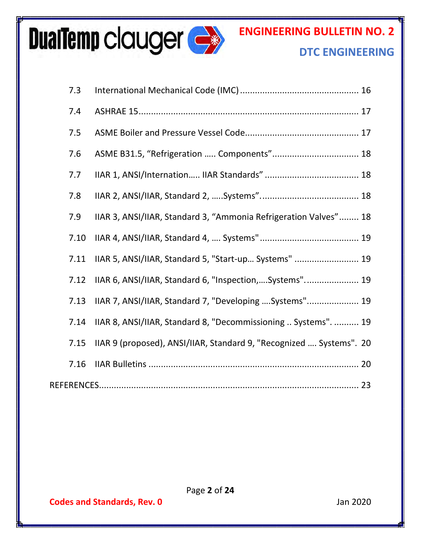# **DualTemp clauger &**

## **ENGINEERING BULLETIN NO. 2**

#### **DTC ENGINEERING**

| 7.3  |                                                                     |
|------|---------------------------------------------------------------------|
| 7.4  |                                                                     |
| 7.5  |                                                                     |
| 7.6  | ASME B31.5, "Refrigeration  Components" 18                          |
| 7.7  |                                                                     |
| 7.8  |                                                                     |
| 7.9  | IIAR 3, ANSI/IIAR, Standard 3, "Ammonia Refrigeration Valves" 18    |
| 7.10 |                                                                     |
| 7.11 | IIAR 5, ANSI/IIAR, Standard 5, "Start-up Systems"  19               |
| 7.12 | IIAR 6, ANSI/IIAR, Standard 6, "Inspection,Systems" 19              |
| 7.13 | IIAR 7, ANSI/IIAR, Standard 7, "Developing  Systems" 19             |
| 7.14 | IIAR 8, ANSI/IIAR, Standard 8, "Decommissioning  Systems".  19      |
| 7.15 | IIAR 9 (proposed), ANSI/IIAR, Standard 9, "Recognized  Systems". 20 |
| 7.16 |                                                                     |
|      |                                                                     |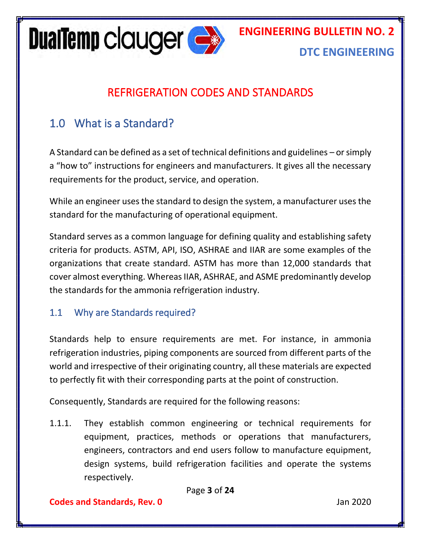**ENGINEERING BULLETIN NO. 2**



#### **DTC ENGINEERING**

#### REFRIGERATION CODES AND STANDARDS

#### <span id="page-3-1"></span><span id="page-3-0"></span>1.0 What is a Standard?

A Standard can be defined as a set of technical definitions and guidelines – or simply a "how to" instructions for engineers and manufacturers. It gives all the necessary requirements for the product, service, and operation.

While an engineer uses the standard to design the system, a manufacturer uses the standard for the manufacturing of operational equipment.

Standard serves as a common language for defining quality and establishing safety criteria for products. ASTM, API, ISO, ASHRAE and IIAR are some examples of the organizations that create standard. ASTM has more than 12,000 standards that cover almost everything. Whereas IIAR, ASHRAE, and ASME predominantly develop the standards for the ammonia refrigeration industry.

#### <span id="page-3-2"></span>1.1 Why are Standards required?

Standards help to ensure requirements are met. For instance, in ammonia refrigeration industries, piping components are sourced from different parts of the world and irrespective of their originating country, all these materials are expected to perfectly fit with their corresponding parts at the point of construction.

Consequently, Standards are required for the following reasons:

1.1.1. They establish common engineering or technical requirements for equipment, practices, methods or operations that manufacturers, engineers, contractors and end users follow to manufacture equipment, design systems, build refrigeration facilities and operate the systems respectively.

Page **3** of **24**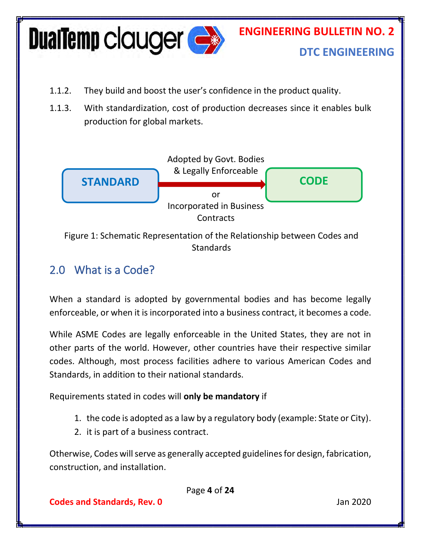

- 1.1.2. They build and boost the user's confidence in the product quality.
- 1.1.3. With standardization, cost of production decreases since it enables bulk production for global markets.



Figure 1: Schematic Representation of the Relationship between Codes and **Standards** 

#### <span id="page-4-0"></span>2.0 What is a Code?

When a standard is adopted by governmental bodies and has become legally enforceable, or when it is incorporated into a business contract, it becomes a code.

While ASME Codes are legally enforceable in the United States, they are not in other parts of the world. However, other countries have their respective similar codes. Although, most process facilities adhere to various American Codes and Standards, in addition to their national standards.

Requirements stated in codes will **only be mandatory** if

- 1. the code is adopted as a law by a regulatory body (example: State or City).
- 2. it is part of a business contract.

Otherwise, Codes will serve as generally accepted guidelines for design, fabrication, construction, and installation.

Page **4** of **24**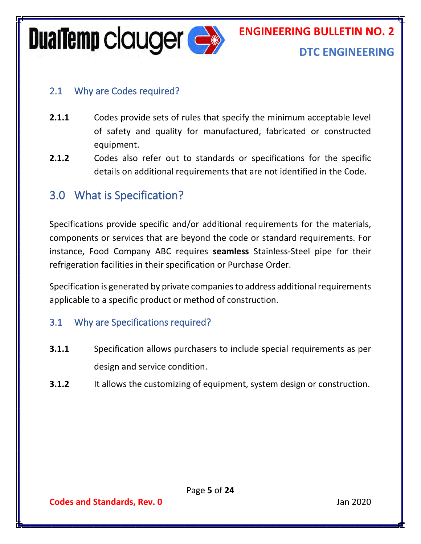**DualTemp clauger**  $\rightarrow$ 

### **ENGINEERING BULLETIN NO. 2**

#### **DTC ENGINEERING**

#### <span id="page-5-0"></span>2.1 Why are Codes required?

- **2.1.1** Codes provide sets of rules that specify the minimum acceptable level of safety and quality for manufactured, fabricated or constructed equipment.
- **2.1.2** Codes also refer out to standards or specifications for the specific details on additional requirements that are not identified in the Code.

#### <span id="page-5-1"></span>3.0 What is Specification?

Specifications provide specific and/or additional requirements for the materials, components or services that are beyond the code or standard requirements. For instance, Food Company ABC requires **seamless** Stainless-Steel pipe for their refrigeration facilities in their specification or Purchase Order.

Specification is generated by private companies to address additional requirements applicable to a specific product or method of construction.

#### <span id="page-5-2"></span>3.1 Why are Specifications required?

- **3.1.1** Specification allows purchasers to include special requirements as per design and service condition.
- **3.1.2** It allows the customizing of equipment, system design or construction.

**Codes and Standards, Rev. 0** Jan 2020

Page **5** of **24**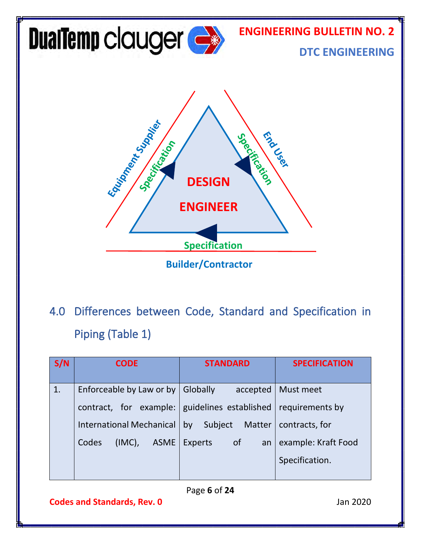

<span id="page-6-0"></span>4.0 Differences between Code, Standard and Specification in Piping (Table 1)

| S/N | <b>CODE</b>                       | <b>STANDARD</b>                       | <b>SPECIFICATION</b> |
|-----|-----------------------------------|---------------------------------------|----------------------|
| 1.  | Enforceable by Law or by          | Globally<br>accepted                  | Must meet            |
|     | contract, for example:            | guidelines established                | requirements by      |
|     | <b>International Mechanical</b>   | Subject<br>Matter<br>by               | contracts, for       |
|     | $(IMC)$ ,<br><b>ASME</b><br>Codes | <sub>of</sub><br><b>Experts</b><br>an | example: Kraft Food  |
|     |                                   |                                       | Specification.       |
|     |                                   |                                       |                      |

Page **6** of **24**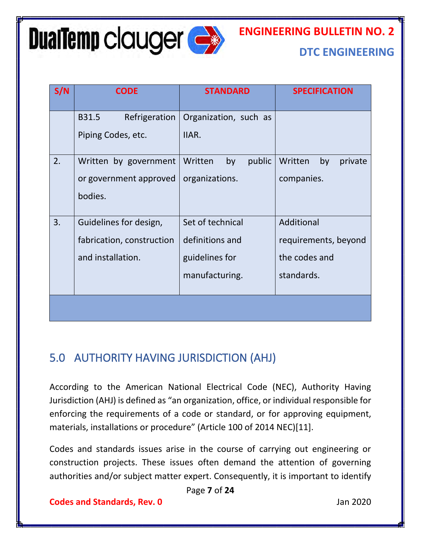# **DualTemp clauger Compared Strategy**

#### **DTC ENGINEERING**

|    | <b>CODE</b>                                                              | <b>STANDARD</b>                                                         | <b>SPECIFICATION</b>                                              |
|----|--------------------------------------------------------------------------|-------------------------------------------------------------------------|-------------------------------------------------------------------|
|    | Refrigeration<br>B31.5<br>Piping Codes, etc.                             | Organization, such as<br>IIAR.                                          |                                                                   |
| 2. | Written by government<br>or government approved<br>bodies.               | public<br>Written<br>by<br>organizations.                               | Written<br>by<br>private<br>companies.                            |
| 3. | Guidelines for design,<br>fabrication, construction<br>and installation. | Set of technical<br>definitions and<br>guidelines for<br>manufacturing. | Additional<br>requirements, beyond<br>the codes and<br>standards. |
|    |                                                                          |                                                                         |                                                                   |

#### <span id="page-7-0"></span>5.0 AUTHORITY HAVING JURISDICTION (AHJ)

According to the American National Electrical Code (NEC), Authority Having Jurisdiction (AHJ) is defined as "an organization, office, or individual responsible for enforcing the requirements of a code or standard, or for approving equipment, materials, installations or procedure" (Article 100 of 2014 NEC)[11].

Codes and standards issues arise in the course of carrying out engineering or construction projects. These issues often demand the attention of governing authorities and/or subject matter expert. Consequently, it is important to identify

Page **7** of **24**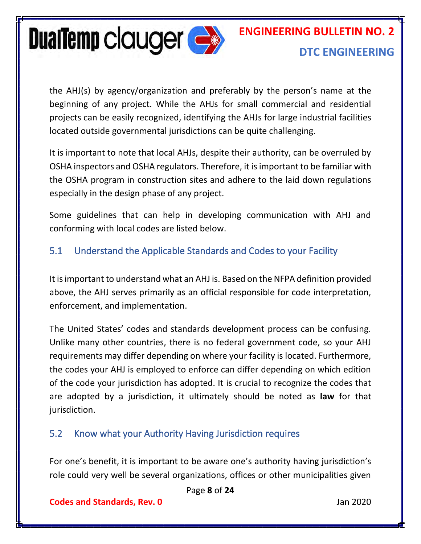

the AHJ(s) by agency/organization and preferably by the person's name at the beginning of any project. While the AHJs for small commercial and residential projects can be easily recognized, identifying the AHJs for large industrial facilities located outside governmental jurisdictions can be quite challenging.

It is important to note that local AHJs, despite their authority, can be overruled by OSHA inspectors and OSHA regulators. Therefore, it is important to be familiar with the OSHA program in construction sites and adhere to the laid down regulations especially in the design phase of any project.

Some guidelines that can help in developing communication with AHJ and conforming with local codes are listed below.

#### <span id="page-8-0"></span>5.1 Understand the Applicable Standards and Codes to your Facility

It isimportant to understand what an AHJ is. Based on the NFPA definition provided above, the AHJ serves primarily as an official responsible for code interpretation, enforcement, and implementation.

The United States' codes and standards development process can be confusing. Unlike many other countries, there is no federal government code, so your AHJ requirements may differ depending on where your facility is located. Furthermore, the codes your AHJ is employed to enforce can differ depending on which edition of the code your jurisdiction has adopted. It is crucial to recognize the codes that are adopted by a jurisdiction, it ultimately should be noted as **law** for that jurisdiction.

#### <span id="page-8-1"></span>5.2 Know what your Authority Having Jurisdiction requires

For one's benefit, it is important to be aware one's authority having jurisdiction's role could very well be several organizations, offices or other municipalities given

Page **8** of **24**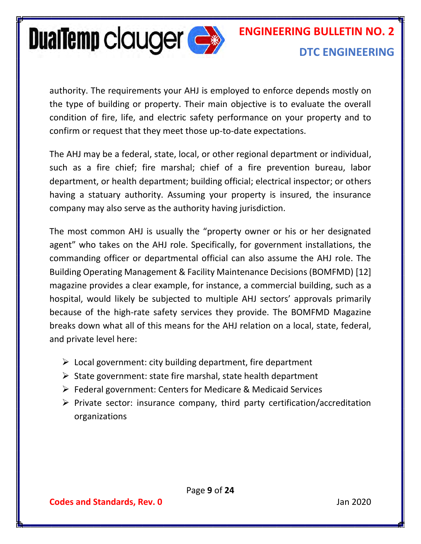

authority. The requirements your AHJ is employed to enforce depends mostly on the type of building or property. Their main objective is to evaluate the overall condition of fire, life, and electric safety performance on your property and to confirm or request that they meet those up-to-date expectations.

The AHJ may be a federal, state, local, or other regional department or individual, such as a fire chief; fire marshal; chief of a fire prevention bureau, labor department, or health department; building official; electrical inspector; or others having a statuary authority. Assuming your property is insured, the insurance company may also serve as the authority having jurisdiction.

The most common AHJ is usually the "property owner or his or her designated agent" who takes on the AHJ role. Specifically, for government installations, the commanding officer or departmental official can also assume the AHJ role. The Building Operating Management & Facility Maintenance Decisions (BOMFMD) [12] magazine provides a clear example, for instance, a commercial building, such as a hospital, would likely be subjected to multiple AHJ sectors' approvals primarily because of the high-rate safety services they provide. The BOMFMD Magazine breaks down what all of this means for the AHJ relation on a local, state, federal, and private level here:

- $\triangleright$  Local government: city building department, fire department
- $\triangleright$  State government: state fire marshal, state health department
- ➢ Federal government: Centers for Medicare & Medicaid Services
- $\triangleright$  Private sector: insurance company, third party certification/accreditation organizations

Page **9** of **24**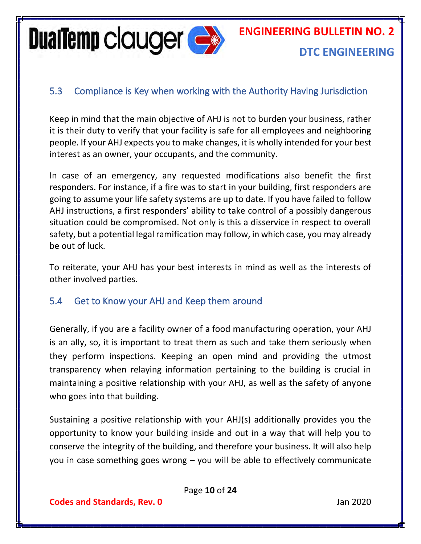**DualTemp clauger expanding the Second Second** 

#### **DTC ENGINEERING**

#### <span id="page-10-0"></span>5.3 Compliance is Key when working with the Authority Having Jurisdiction

Keep in mind that the main objective of AHJ is not to burden your business, rather it is their duty to verify that your facility is safe for all employees and neighboring people. If your AHJ expects you to make changes, it is wholly intended for your best interest as an owner, your occupants, and the community.

In case of an emergency, any requested modifications also benefit the first responders. For instance, if a fire was to start in your building, first responders are going to assume your life safety systems are up to date. If you have failed to follow AHJ instructions, a first responders' ability to take control of a possibly dangerous situation could be compromised. Not only is this a disservice in respect to overall safety, but a potential legal ramification may follow, in which case, you may already be out of luck.

To reiterate, your AHJ has your best interests in mind as well as the interests of other involved parties.

#### <span id="page-10-1"></span>5.4 Get to Know your AHJ and Keep them around

Generally, if you are a facility owner of a food manufacturing operation, your AHJ is an ally, so, it is important to treat them as such and take them seriously when they perform inspections. Keeping an open mind and providing the utmost transparency when relaying information pertaining to the building is crucial in maintaining a positive relationship with your AHJ, as well as the safety of anyone who goes into that building.

Sustaining a positive relationship with your AHJ(s) additionally provides you the opportunity to know your building inside and out in a way that will help you to conserve the integrity of the building, and therefore your business. It will also help you in case something goes wrong – you will be able to effectively communicate

Page **10** of **24**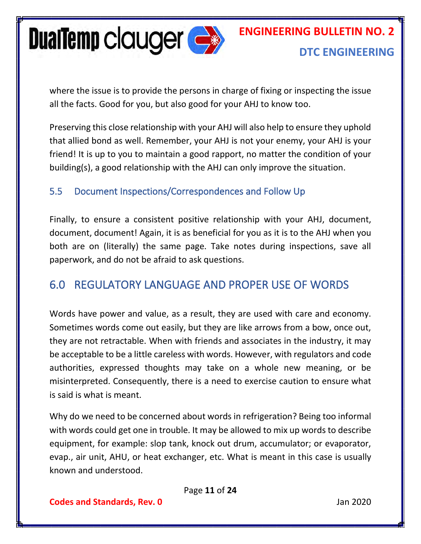

where the issue is to provide the persons in charge of fixing or inspecting the issue all the facts. Good for you, but also good for your AHJ to know too.

Preserving this close relationship with your AHJ will also help to ensure they uphold that allied bond as well. Remember, your AHJ is not your enemy, your AHJ is your friend! It is up to you to maintain a good rapport, no matter the condition of your building(s), a good relationship with the AHJ can only improve the situation.

#### <span id="page-11-0"></span>5.5 Document Inspections/Correspondences and Follow Up

Finally, to ensure a consistent positive relationship with your AHJ, document, document, document! Again, it is as beneficial for you as it is to the AHJ when you both are on (literally) the same page. Take notes during inspections, save all paperwork, and do not be afraid to ask questions.

#### <span id="page-11-1"></span>6.0 REGULATORY LANGUAGE AND PROPER USE OF WORDS

Words have power and value, as a result, they are used with care and economy. Sometimes words come out easily, but they are like arrows from a bow, once out, they are not retractable. When with friends and associates in the industry, it may be acceptable to be a little careless with words. However, with regulators and code authorities, expressed thoughts may take on a whole new meaning, or be misinterpreted. Consequently, there is a need to exercise caution to ensure what is said is what is meant.

Why do we need to be concerned about words in refrigeration? Being too informal with words could get one in trouble. It may be allowed to mix up words to describe equipment, for example: slop tank, knock out drum, accumulator; or evaporator, evap., air unit, AHU, or heat exchanger, etc. What is meant in this case is usually known and understood.

Page **11** of **24**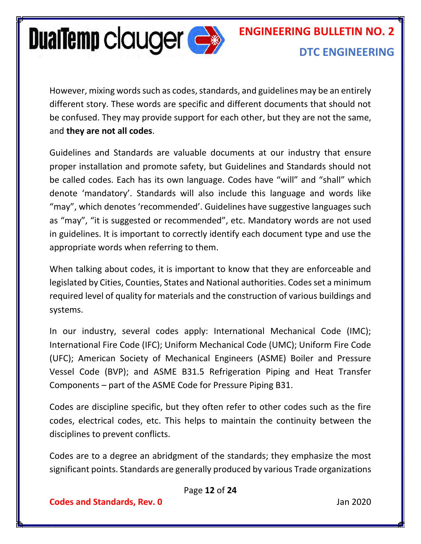

However, mixing words such as codes, standards, and guidelines may be an entirely different story. These words are specific and different documents that should not be confused. They may provide support for each other, but they are not the same, and **they are not all codes**.

Guidelines and Standards are valuable documents at our industry that ensure proper installation and promote safety, but Guidelines and Standards should not be called codes. Each has its own language. Codes have "will" and "shall" which denote 'mandatory'. Standards will also include this language and words like "may", which denotes 'recommended'. Guidelines have suggestive languages such as "may", "it is suggested or recommended", etc. Mandatory words are not used in guidelines. It is important to correctly identify each document type and use the appropriate words when referring to them.

When talking about codes, it is important to know that they are enforceable and legislated by Cities, Counties, States and National authorities. Codes set a minimum required level of quality for materials and the construction of various buildings and systems.

In our industry, several codes apply: International Mechanical Code (IMC); International Fire Code (IFC); Uniform Mechanical Code (UMC); Uniform Fire Code (UFC); American Society of Mechanical Engineers (ASME) Boiler and Pressure Vessel Code (BVP); and ASME B31.5 Refrigeration Piping and Heat Transfer Components – part of the ASME Code for Pressure Piping B31.

Codes are discipline specific, but they often refer to other codes such as the fire codes, electrical codes, etc. This helps to maintain the continuity between the disciplines to prevent conflicts.

Codes are to a degree an abridgment of the standards; they emphasize the most significant points. Standards are generally produced by various Trade organizations

Page **12** of **24**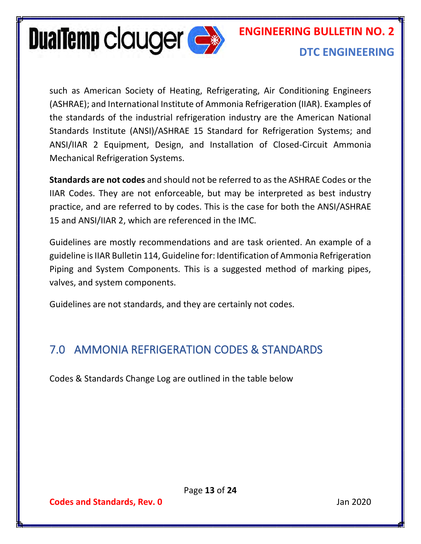

# **ENGINEERING BULLETIN NO. 2**

#### **DTC ENGINEERING**

such as American Society of Heating, Refrigerating, Air Conditioning Engineers (ASHRAE); and International Institute of Ammonia Refrigeration (IIAR). Examples of the standards of the industrial refrigeration industry are the American National Standards Institute (ANSI)/ASHRAE 15 Standard for Refrigeration Systems; and ANSI/IIAR 2 Equipment, Design, and Installation of Closed-Circuit Ammonia Mechanical Refrigeration Systems.

**Standards are not codes** and should not be referred to as the ASHRAE Codes or the IIAR Codes. They are not enforceable, but may be interpreted as best industry practice, and are referred to by codes. This is the case for both the ANSI/ASHRAE 15 and ANSI/IIAR 2, which are referenced in the IMC.

Guidelines are mostly recommendations and are task oriented. An example of a guideline is IIAR Bulletin 114, Guideline for: Identification of Ammonia Refrigeration Piping and System Components. This is a suggested method of marking pipes, valves, and system components.

Guidelines are not standards, and they are certainly not codes.

#### <span id="page-13-0"></span>7.0 AMMONIA REFRIGERATION CODES & STANDARDS

Codes & Standards Change Log are outlined in the table below

Page **13** of **24**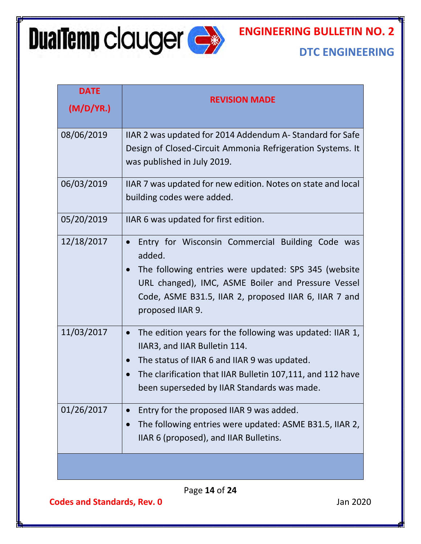**DualTemp clauger &** 

#### **ENGINEERING BULLETIN NO. 2**

#### **DTC ENGINEERING**

| <b>DATE</b><br>(M/D/YA.) | <b>REVISION MADE</b>                                                                                                                                                                                                                                               |  |  |
|--------------------------|--------------------------------------------------------------------------------------------------------------------------------------------------------------------------------------------------------------------------------------------------------------------|--|--|
| 08/06/2019               | IIAR 2 was updated for 2014 Addendum A-Standard for Safe<br>Design of Closed-Circuit Ammonia Refrigeration Systems. It<br>was published in July 2019.                                                                                                              |  |  |
| 06/03/2019               | IIAR 7 was updated for new edition. Notes on state and local<br>building codes were added.                                                                                                                                                                         |  |  |
| 05/20/2019               | IIAR 6 was updated for first edition.                                                                                                                                                                                                                              |  |  |
| 12/18/2017               | Entry for Wisconsin Commercial Building Code was<br>added.<br>The following entries were updated: SPS 345 (website<br>URL changed), IMC, ASME Boiler and Pressure Vessel<br>Code, ASME B31.5, IIAR 2, proposed IIAR 6, IIAR 7 and<br>proposed IIAR 9.              |  |  |
| 11/03/2017               | The edition years for the following was updated: IIAR 1,<br>$\bullet$<br>IIAR3, and IIAR Bulletin 114.<br>The status of IIAR 6 and IIAR 9 was updated.<br>The clarification that IIAR Bulletin 107,111, and 112 have<br>been superseded by IIAR Standards was made |  |  |
| 01/26/2017               | Entry for the proposed IIAR 9 was added.<br>The following entries were updated: ASME B31.5, IIAR 2,<br>IIAR 6 (proposed), and IIAR Bulletins.                                                                                                                      |  |  |
|                          |                                                                                                                                                                                                                                                                    |  |  |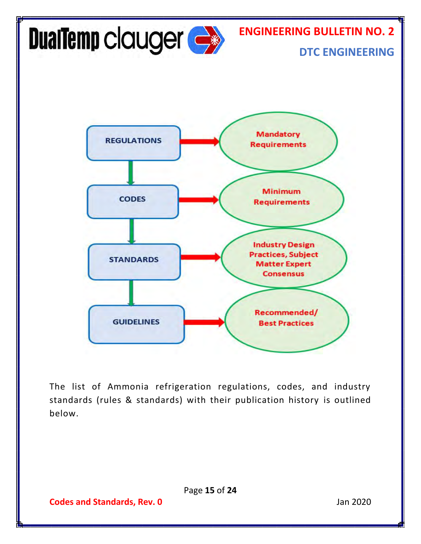

Page **15** of **24**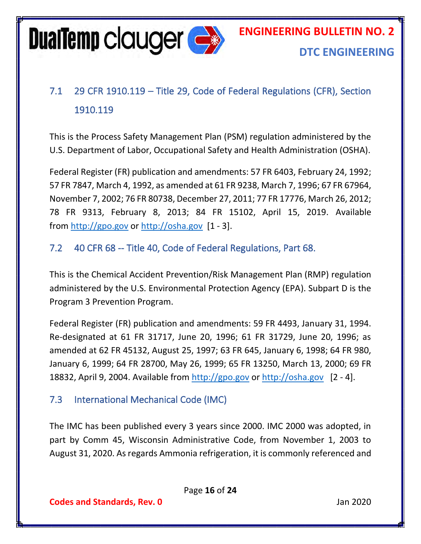

### <span id="page-16-0"></span>7.1 29 CFR 1910.119 – Title 29, Code of Federal Regulations (CFR), Section 1910.119

This is the Process Safety Management Plan (PSM) regulation administered by the U.S. Department of Labor, Occupational Safety and Health Administration (OSHA).

Federal Register (FR) publication and amendments: 57 FR 6403, February 24, 1992; 57 FR 7847, March 4, 1992, as amended at 61 FR 9238, March 7, 1996; 67 FR 67964, November 7, 2002; 76 FR 80738, December 27, 2011; 77 FR 17776, March 26, 2012; 78 FR 9313, February 8, 2013; 84 FR 15102, April 15, 2019. Available from [http://gpo.gov](http://gpo.gov/) or [http://osha.gov](http://osha.gov/) [1 - 3].

#### <span id="page-16-1"></span>7.2 40 CFR 68 -- Title 40, Code of Federal Regulations, Part 68.

This is the Chemical Accident Prevention/Risk Management Plan (RMP) regulation administered by the U.S. Environmental Protection Agency (EPA). Subpart D is the Program 3 Prevention Program.

Federal Register (FR) publication and amendments: 59 FR 4493, January 31, 1994. Re-designated at 61 FR 31717, June 20, 1996; 61 FR 31729, June 20, 1996; as amended at 62 FR 45132, August 25, 1997; 63 FR 645, January 6, 1998; 64 FR 980, January 6, 1999; 64 FR 28700, May 26, 1999; 65 FR 13250, March 13, 2000; 69 FR 18832, April 9, 2004. Available from [http://gpo.gov](http://gpo.gov/) or [http://osha.gov](http://osha.gov/) [2 - 4].

#### <span id="page-16-2"></span>7.3 International Mechanical Code (IMC)

The IMC has been published every 3 years since 2000. IMC 2000 was adopted, in part by Comm 45, Wisconsin Administrative Code, from November 1, 2003 to August 31, 2020. As regards Ammonia refrigeration, it is commonly referenced and

Page **16** of **24**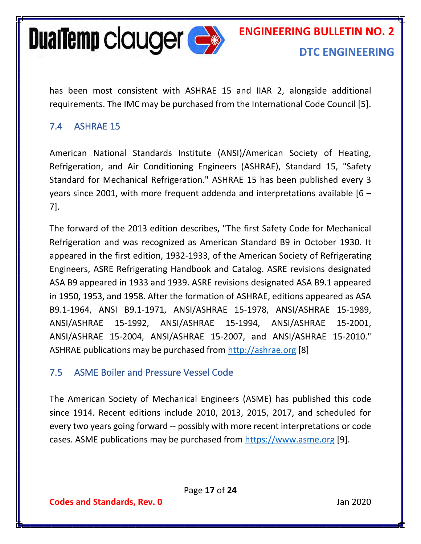

has been most consistent with ASHRAE 15 and IIAR 2, alongside additional requirements. The IMC may be purchased from the International Code Council [5].

#### <span id="page-17-0"></span>7.4 ASHRAE 15

American National Standards Institute (ANSI)/American Society of Heating, Refrigeration, and Air Conditioning Engineers (ASHRAE), Standard 15, "Safety Standard for Mechanical Refrigeration." ASHRAE 15 has been published every 3 years since 2001, with more frequent addenda and interpretations available [6 – 7].

The forward of the 2013 edition describes, "The first Safety Code for Mechanical Refrigeration and was recognized as American Standard B9 in October 1930. It appeared in the first edition, 1932-1933, of the American Society of Refrigerating Engineers, ASRE Refrigerating Handbook and Catalog. ASRE revisions designated ASA B9 appeared in 1933 and 1939. ASRE revisions designated ASA B9.1 appeared in 1950, 1953, and 1958. After the formation of ASHRAE, editions appeared as ASA B9.1-1964, ANSI B9.1-1971, ANSI/ASHRAE 15-1978, ANSI/ASHRAE 15-1989, ANSI/ASHRAE 15-1992, ANSI/ASHRAE 15-1994, ANSI/ASHRAE 15-2001, ANSI/ASHRAE 15-2004, ANSI/ASHRAE 15-2007, and ANSI/ASHRAE 15-2010." ASHRAE publications may be purchased from [http://ashrae.org](http://ashrae.org/) [8]

#### <span id="page-17-1"></span>7.5 ASME Boiler and Pressure Vessel Code

The American Society of Mechanical Engineers (ASME) has published this code since 1914. Recent editions include 2010, 2013, 2015, 2017, and scheduled for every two years going forward -- possibly with more recent interpretations or code cases. ASME publications may be purchased from [https://www.asme.org](https://www.asme.org/) [9].

Page **17** of **24**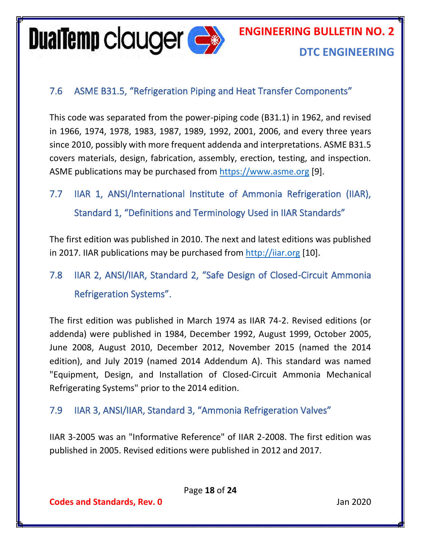**DualTemp clauger**  $\Leftrightarrow$ 

#### <span id="page-18-0"></span>7.6 ASME B31.5, "Refrigeration Piping and Heat Transfer Components"

This code was separated from the power-piping code (B31.1) in 1962, and revised in 1966, 1974, 1978, 1983, 1987, 1989, 1992, 2001, 2006, and every three years since 2010, possibly with more frequent addenda and interpretations. ASME B31.5 covers materials, design, fabrication, assembly, erection, testing, and inspection. ASME publications may be purchased from [https://www.asme.org](https://www.asme.org/) [9].

<span id="page-18-1"></span>7.7 IIAR 1, ANSI/International Institute of Ammonia Refrigeration (IIAR), Standard 1, "Definitions and Terminology Used in IIAR Standards"

The first edition was published in 2010. The next and latest editions was published in 2017. IIAR publications may be purchased from [http://iiar.org](http://iiar.org/) [10].

<span id="page-18-2"></span>7.8 IIAR 2, ANSI/IIAR, Standard 2, "Safe Design of Closed-Circuit Ammonia Refrigeration Systems".

The first edition was published in March 1974 as IIAR 74-2. Revised editions (or addenda) were published in 1984, December 1992, August 1999, October 2005, June 2008, August 2010, December 2012, November 2015 (named the 2014 edition), and July 2019 (named 2014 Addendum A). This standard was named "Equipment, Design, and Installation of Closed-Circuit Ammonia Mechanical Refrigerating Systems" prior to the 2014 edition.

#### <span id="page-18-3"></span>7.9 IIAR 3, ANSI/IIAR, Standard 3, "Ammonia Refrigeration Valves"

IIAR 3-2005 was an "Informative Reference" of IIAR 2-2008. The first edition was published in 2005. Revised editions were published in 2012 and 2017.

Page **18** of **24**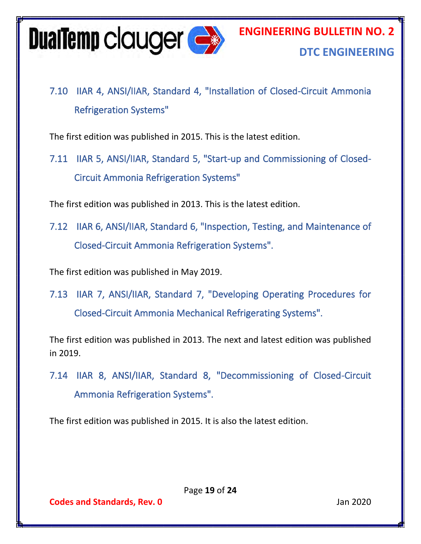

<span id="page-19-0"></span>7.10 IIAR 4, ANSI/IIAR, Standard 4, "Installation of Closed-Circuit Ammonia Refrigeration Systems"

The first edition was published in 2015. This is the latest edition.

<span id="page-19-1"></span>7.11 IIAR 5, ANSI/IIAR, Standard 5, "Start-up and Commissioning of Closed-Circuit Ammonia Refrigeration Systems"

The first edition was published in 2013. This is the latest edition.

<span id="page-19-2"></span>7.12 IIAR 6, ANSI/IIAR, Standard 6, "Inspection, Testing, and Maintenance of Closed-Circuit Ammonia Refrigeration Systems".

The first edition was published in May 2019.

<span id="page-19-3"></span>7.13 IIAR 7, ANSI/IIAR, Standard 7, "Developing Operating Procedures for Closed-Circuit Ammonia Mechanical Refrigerating Systems".

The first edition was published in 2013. The next and latest edition was published in 2019.

<span id="page-19-4"></span>7.14 IIAR 8, ANSI/IIAR, Standard 8, "Decommissioning of Closed-Circuit Ammonia Refrigeration Systems".

The first edition was published in 2015. It is also the latest edition.

Page **19** of **24**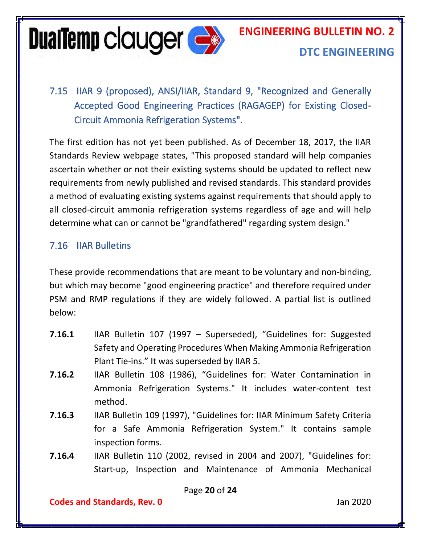**DualTemp clauger Compared Strategy** 

# **ENGINEERING BULLETIN NO. 2**

#### **DTC ENGINEERING**

<span id="page-20-0"></span>7.15 IIAR 9 (proposed), ANSI/IIAR, Standard 9, "Recognized and Generally Accepted Good Engineering Practices (RAGAGEP) for Existing Closed-Circuit Ammonia Refrigeration Systems".

The first edition has not yet been published. As of December 18, 2017, the IIAR Standards Review webpage states, "This proposed standard will help companies ascertain whether or not their existing systems should be updated to reflect new requirements from newly published and revised standards. This standard provides a method of evaluating existing systems against requirements that should apply to all closed-circuit ammonia refrigeration systems regardless of age and will help determine what can or cannot be "grandfathered" regarding system design."

#### <span id="page-20-1"></span>7.16 IIAR Bulletins

These provide recommendations that are meant to be voluntary and non-binding, but which may become "good engineering practice" and therefore required under PSM and RMP regulations if they are widely followed. A partial list is outlined below:

- **7.16.1** IIAR Bulletin 107 (1997 Superseded), "Guidelines for: Suggested Safety and Operating Procedures When Making Ammonia Refrigeration Plant Tie-ins." It was superseded by IIAR 5.
- **7.16.2** IIAR Bulletin 108 (1986), "Guidelines for: Water Contamination in Ammonia Refrigeration Systems." It includes water-content test method.
- **7.16.3** IIAR Bulletin 109 (1997), "Guidelines for: IIAR Minimum Safety Criteria for a Safe Ammonia Refrigeration System." It contains sample inspection forms.
- **7.16.4** IIAR Bulletin 110 (2002, revised in 2004 and 2007), "Guidelines for: Start-up, Inspection and Maintenance of Ammonia Mechanical

Page **20** of **24**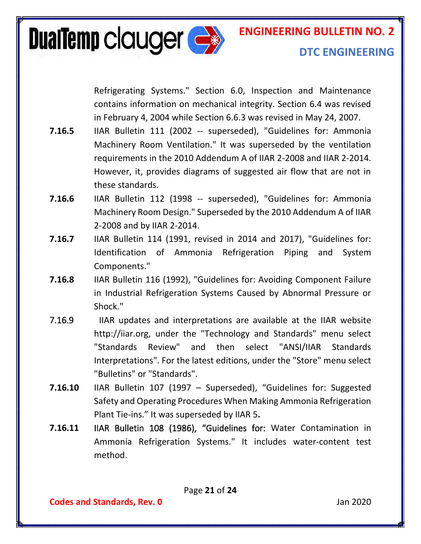

Refrigerating Systems." Section 6.0, Inspection and Maintenance contains information on mechanical integrity. Section 6.4 was revised in February 4, 2004 while Section 6.6.3 was revised in May 24, 2007.

- **7.16.5** IIAR Bulletin 111 (2002 -- superseded), "Guidelines for: Ammonia Machinery Room Ventilation." It was superseded by the ventilation requirements in the 2010 Addendum A of IIAR 2-2008 and IIAR 2-2014. However, it, provides diagrams of suggested air flow that are not in these standards.
- **7.16.6** IIAR Bulletin 112 (1998 -- superseded), "Guidelines for: Ammonia Machinery Room Design." Superseded by the 2010 Addendum A of IIAR 2-2008 and by IIAR 2-2014.
- **7.16.7** IIAR Bulletin 114 (1991, revised in 2014 and 2017), "Guidelines for: Identification of Ammonia Refrigeration Piping and System Components."
- **7.16.8** IIAR Bulletin 116 (1992), "Guidelines for: Avoiding Component Failure in Industrial Refrigeration Systems Caused by Abnormal Pressure or Shock."
- 7.16.9 IIAR updates and interpretations are available at the IIAR website http://iiar.org, under the "Technology and Standards" menu select "Standards Review" and then select "ANSI/IIAR Standards Interpretations". For the latest editions, under the "Store" menu select "Bulletins" or "Standards".
- **7.16.10** IIAR Bulletin 107 (1997 Superseded), "Guidelines for: Suggested Safety and Operating Procedures When Making Ammonia Refrigeration Plant Tie-ins." It was superseded by IIAR 5**.**
- **7.16.11** IIAR Bulletin 108 (1986), "Guidelines for: Water Contamination in Ammonia Refrigeration Systems." It includes water-content test method.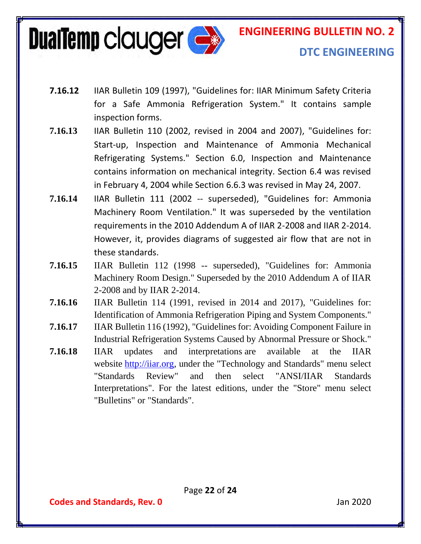**DualTemp clauger expanding the Street Street Street Street Street Street Street Street Street Street Street Street Street Street Street Street Street Street Street Street Street Street Street Street Street Street Street S** 

**ENGINEERING BULLETIN NO. 2**

#### **DTC ENGINEERING**

- **7.16.12** IIAR Bulletin 109 (1997), "Guidelines for: IIAR Minimum Safety Criteria for a Safe Ammonia Refrigeration System." It contains sample inspection forms.
- **7.16.13** IIAR Bulletin 110 (2002, revised in 2004 and 2007), "Guidelines for: Start-up, Inspection and Maintenance of Ammonia Mechanical Refrigerating Systems." Section 6.0, Inspection and Maintenance contains information on mechanical integrity. Section 6.4 was revised in February 4, 2004 while Section 6.6.3 was revised in May 24, 2007.
- **7.16.14** IIAR Bulletin 111 (2002 -- superseded), "Guidelines for: Ammonia Machinery Room Ventilation." It was superseded by the ventilation requirements in the 2010 Addendum A of IIAR 2-2008 and IIAR 2-2014. However, it, provides diagrams of suggested air flow that are not in these standards.
- **7.16.15** IIAR Bulletin 112 (1998 -- superseded), "Guidelines for: Ammonia Machinery Room Design." Superseded by the 2010 Addendum A of IIAR 2-2008 and by IIAR 2-2014.
- **7.16.16** IIAR Bulletin 114 (1991, revised in 2014 and 2017), "Guidelines for: Identification of Ammonia Refrigeration Piping and System Components."
- **7.16.17** IIAR Bulletin 116 (1992), "Guidelines for: Avoiding Component Failure in Industrial Refrigeration Systems Caused by Abnormal Pressure or Shock."
- **7.16.18** IIAR updates and interpretations are available at the IIAR website [http://iiar.org,](http://iiar.org/) under the "Technology and Standards" menu select "Standards Review" and then select "ANSI/IIAR Standards Interpretations". For the latest editions, under the "Store" menu select "Bulletins" or "Standards".

Page **22** of **24**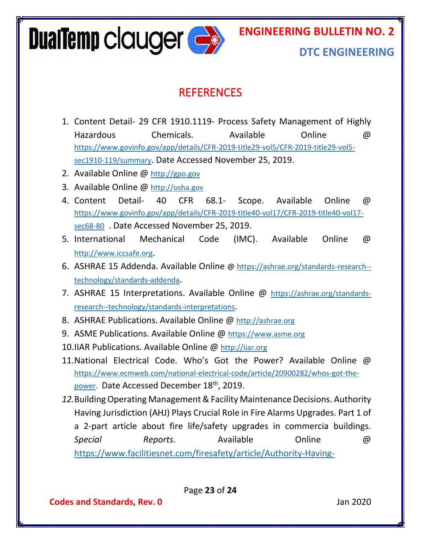**DualTemp clauger Compared Strategy** 

**ENGINEERING BULLETIN NO. 2**

#### **DTC ENGINEERING**

#### **REFERENCES**

- <span id="page-23-0"></span>1. Content Detail- 29 CFR 1910.1119- Process Safety Management of Highly Hazardous Chemicals. Available Online @ [https://www.govinfo.gov/app/details/CFR-2019-title29-vol5/CFR-2019-title29-vol5](https://www.govinfo.gov/app/details/CFR-2019-title29-vol5/CFR-2019-title29-vol5-sec1910-119/summary) [sec1910-119/summary](https://www.govinfo.gov/app/details/CFR-2019-title29-vol5/CFR-2019-title29-vol5-sec1910-119/summary). Date Accessed November 25, 2019.
- 2. Available Online @ [http://gpo.gov](http://gpo.gov/)
- 3. Available Online @ [http://osha.gov](http://osha.gov/)
- 4. Content Detail- 40 CFR 68.1- Scope. Available Online @ [https://www.govinfo.gov/app/details/CFR-2019-title40-vol17/CFR-2019-title40-vol17](https://www.govinfo.gov/app/details/CFR-2019-title40-vol17/CFR-2019-title40-vol17-sec68-80) [sec68-80](https://www.govinfo.gov/app/details/CFR-2019-title40-vol17/CFR-2019-title40-vol17-sec68-80) . Date Accessed November 25, 2019.
- 5. International Mechanical Code (IMC). Available Online @ [http://www.iccsafe.org](http://www.iccsafe.org/).
- 6. ASHRAE 15 Addenda. Available Online @ [https://ashrae.org/standards-research-](https://ashrae.org/standards-research--technology/standards-addenda) [technology/standards-addenda](https://ashrae.org/standards-research--technology/standards-addenda).
- 7. ASHRAE 15 Interpretations. Available Online @ [https://ashrae.org/standards](https://ashrae.org/standards-research--technology/standards-interpretations)[research--technology/standards-interpretations](https://ashrae.org/standards-research--technology/standards-interpretations).
- 8. ASHRAE Publications. Available Online @ [http://ashrae.org](http://ashrae.org/)
- 9. ASME Publications. Available Online @ [https://www.asme.org](https://www.asme.org/)
- 10.IIAR Publications. Available Online @ [http://iiar.org](http://iiar.org/)
- 11.National Electrical Code. Who's Got the Power? Available Online @ [https://www.ecmweb.com/national-electrical-code/article/20900282/whos-got-the](https://www.ecmweb.com/national-electrical-code/article/20900282/whos-got-the-power)[power.](https://www.ecmweb.com/national-electrical-code/article/20900282/whos-got-the-power) Date Accessed December 18th, 2019.
- *12.*Building Operating Management & Facility Maintenance Decisions. Authority Having Jurisdiction (AHJ) Plays Crucial Role in Fire Alarms Upgrades. Part 1 of a 2-part article about fire life/safety upgrades in commercia buildings. *Special Reports*. Available Online @ [https://www.facilitiesnet.com/firesafety/article/Authority-Having-](https://www.facilitiesnet.com/firesafety/article/Authority-Having-Jurisdiction-AHJ-Plays-Crucial-Role-in-Fire-Alarm-Upgrades---16594?source=part)

Page **23** of **24**